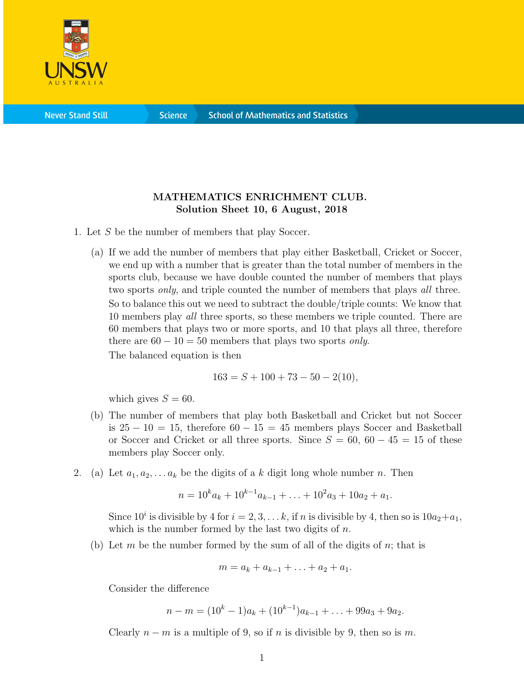

**Science** 

## MATHEMATICS ENRICHMENT CLUB. Solution Sheet 10, 6 August, 2018

- 1. Let S be the number of members that play Soccer.
	- (a) If we add the number of members that play either Basketball, Cricket or Soccer, we end up with a number that is greater than the total number of members in the sports club, because we have double counted the number of members that plays two sports *only*, and triple counted the number of members that plays *all* three. So to balance this out we need to subtract the double/triple counts: We know that 10 members play *all* three sports, so these members we triple counted. There are 60 members that plays two or more sports, and 10 that plays all three, therefore there are  $60 - 10 = 50$  members that plays two sports *only*. The balanced equation is then

$$
163 = S + 100 + 73 - 50 - 2(10),
$$

which gives  $S = 60$ .

- (b) The number of members that play both Basketball and Cricket but not Soccer is  $25 - 10 = 15$ , therefore  $60 - 15 = 45$  members plays Soccer and Basketball or Soccer and Cricket or all three sports. Since  $S = 60, 60 - 45 = 15$  of these members play Soccer only.
- 2. (a) Let  $a_1, a_2, \ldots a_k$  be the digits of a k digit long whole number n. Then

$$
n = 10^k a_k + 10^{k-1} a_{k-1} + \ldots + 10^2 a_3 + 10a_2 + a_1.
$$

Since  $10^i$  is divisible by 4 for  $i = 2, 3, \ldots k$ , if n is divisible by 4, then so is  $10a_2+a_1$ , which is the number formed by the last two digits of  $n$ .

(b) Let m be the number formed by the sum of all of the digits of n; that is

$$
m = a_k + a_{k-1} + \ldots + a_2 + a_1.
$$

Consider the difference

$$
n - m = (10k - 1)ak + (10k-1)ak-1 + ... + 99a3 + 9a2.
$$

Clearly  $n - m$  is a multiple of 9, so if n is divisible by 9, then so is m.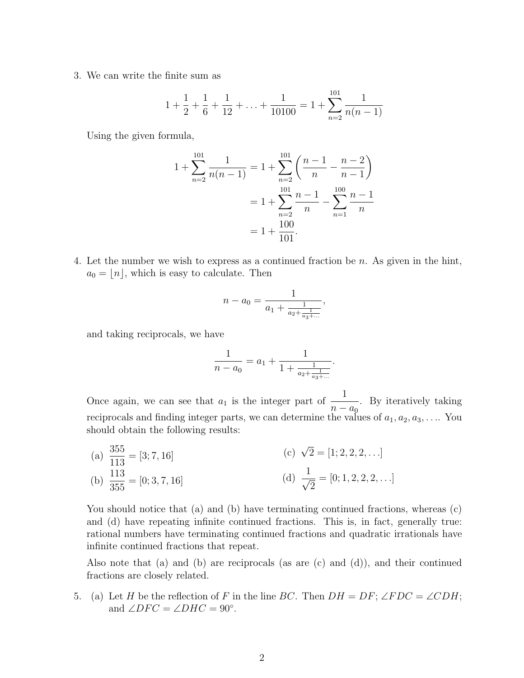3. We can write the finite sum as

$$
1 + \frac{1}{2} + \frac{1}{6} + \frac{1}{12} + \ldots + \frac{1}{10100} = 1 + \sum_{n=2}^{101} \frac{1}{n(n-1)}
$$

Using the given formula,

$$
1 + \sum_{n=2}^{101} \frac{1}{n(n-1)} = 1 + \sum_{n=2}^{101} \left( \frac{n-1}{n} - \frac{n-2}{n-1} \right)
$$
  
=  $1 + \sum_{n=2}^{101} \frac{n-1}{n} - \sum_{n=1}^{100} \frac{n-1}{n}$   
=  $1 + \frac{100}{101}$ .

4. Let the number we wish to express as a continued fraction be n. As given in the hint,  $a_0 = |n|$ , which is easy to calculate. Then

$$
n - a_0 = \frac{1}{a_1 + \frac{1}{a_2 + \frac{1}{a_3 + \dots}}},
$$

and taking reciprocals, we have

$$
\frac{1}{n-a_0} = a_1 + \frac{1}{1 + \frac{1}{a_2 + \frac{1}{a_3 + \dots}}}.
$$

Once again, we can see that  $a_1$  is the integer part of  $\frac{1}{1}$  $n - a_0$ . By iteratively taking reciprocals and finding integer parts, we can determine the values of  $a_1, a_2, a_3, \ldots$ . You should obtain the following results:

(a)  $\frac{355}{110}$ 113  $=[3; 7, 16]$ (b)  $\frac{113}{255}$ 355  $=[0; 3, 7, 16]$ (c)  $\sqrt{2} = [1; 2, 2, 2, \ldots]$ (d)  $\frac{1}{\sqrt{2}}$ 2  $=[0; 1, 2, 2, 2, \ldots]$ 

You should notice that (a) and (b) have terminating continued fractions, whereas (c) and (d) have repeating infinite continued fractions. This is, in fact, generally true: rational numbers have terminating continued fractions and quadratic irrationals have infinite continued fractions that repeat.

Also note that (a) and (b) are reciprocals (as are (c) and (d)), and their continued fractions are closely related.

5. (a) Let H be the reflection of F in the line BC. Then  $DH = DF; \angle FDC = \angle CDH;$ and  $\angle DFC = \angle DHC = 90^{\circ}$ .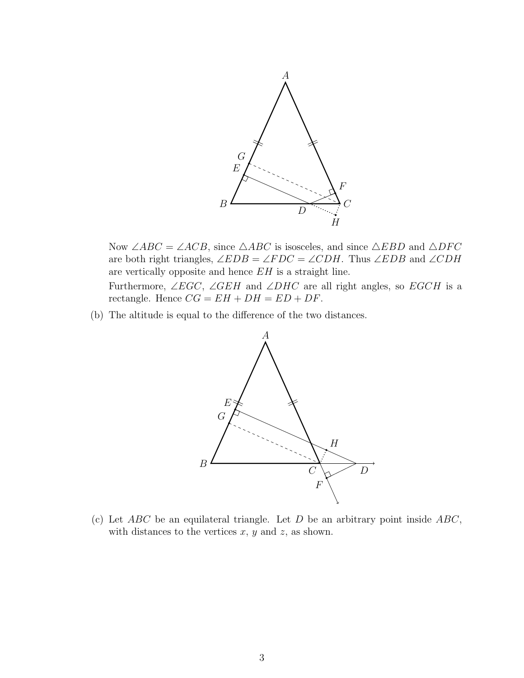

Now ∠ABC = ∠ACB, since  $\triangle ABC$  is isosceles, and since  $\triangle EBD$  and  $\triangle DFC$ are both right triangles,  $\angle EDB = \angle FDC = \angle CDH$ . Thus  $\angle EDB$  and  $\angle CDH$ are vertically opposite and hence EH is a straight line.

Furthermore,  $\angle EGC$ ,  $\angle GEH$  and  $\angle DHC$  are all right angles, so  $EGCH$  is a rectangle. Hence  $CG = EH + DH = ED + DF$ .

(b) The altitude is equal to the difference of the two distances.



(c) Let  $ABC$  be an equilateral triangle. Let D be an arbitrary point inside  $ABC$ , with distances to the vertices  $x, y$  and  $z$ , as shown.